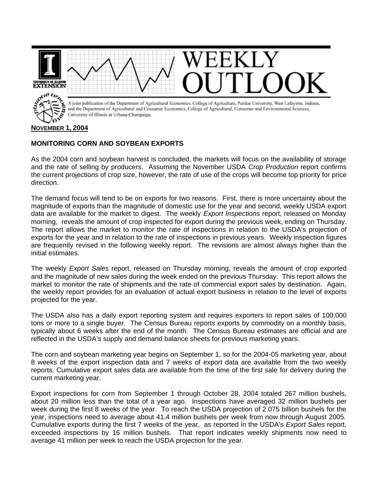

## **MONITORING CORN AND SOYBEAN EXPORTS**

As the 2004 corn and soybean harvest is concluded, the markets will focus on the availability of storage and the rate of selling by producers. Assuming the November USDA *Crop Production* report confirms the current projections of crop size, however, the rate of use of the crops will become top priority for price direction.

The demand focus will tend to be on exports for two reasons. First, there is more uncertainty about the magnitude of exports than the magnitude of domestic use for the year and second, weekly USDA export data are available for the market to digest. The weekly *Export Inspections* report, released on Monday morning, reveals the amount of crop inspected for export during the previous week, ending on Thursday. The report allows the market to monitor the rate of inspections in relation to the USDA's projection of exports for the year and in relation to the rate of inspections in previous years. Weekly inspection figures are frequently revised in the following weekly report. The revisions are almost always higher than the initial estimates.

The weekly *Export Sales* report, released on Thursday morning, reveals the amount of crop exported and the magnitude of new sales during the week ended on the previous Thursday. This report allows the market to monitor the rate of shipments and the rate of commercial export sales by destination. Again, the weekly report provides for an evaluation of actual export business in relation to the level of exports projected for the year.

The USDA also has a daily export reporting system and requires exporters to report sales of 100,000 tons or more to a single buyer. The Census Bureau reports exports by commodity on a monthly basis, typically about 6 weeks after the end of the month. The Census Bureau estimates are official and are reflected in the USDA's supply and demand balance sheets for previous marketing years.

The corn and soybean marketing year begins on September 1, so for the 2004-05 marketing year, about 8 weeks of the export inspection data and 7 weeks of export data are available from the two weekly reports. Cumulative export sales data are available from the time of the first sale for delivery during the current marketing year.

Export inspections for corn from September 1 through October 28, 2004 totaled 267 million bushels, about 20 million less than the total of a year ago. Inspections have averaged 32 million bushels per week during the first 8 weeks of the year. To reach the USDA projection of 2.075 billion bushels for the year, inspections need to average about 41.4 million bushels per week from now through August 2005. Cumulative exports during the first 7 weeks of the year, as reported in the USDA's *Export Sales* report, exceeded inspections by 16 million bushels. That report indicates weekly shipments now need to average 41 million per week to reach the USDA projection for the year.